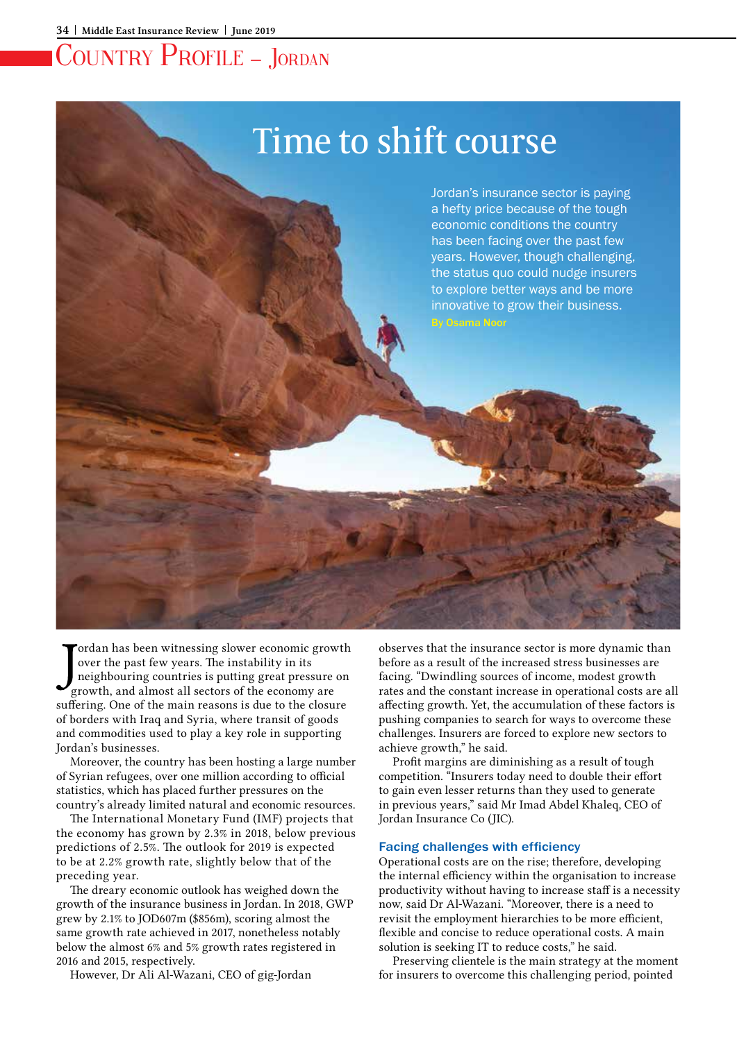# Time to shift course

Jordan's insurance sector is paying a hefty price because of the tough economic conditions the country has been facing over the past few years. However, though challenging, the status quo could nudge insurers to explore better ways and be more innovative to grow their business. By Osama Noor

ordan has been witnessing slower economic growth over the past few years. The instability in its neighbouring countries is putting great pressure on growth, and almost all sectors of the economy are suffering. One of the main reasons is due to the closure of borders with Iraq and Syria, where transit of goods and commodities used to play a key role in supporting Jordan's businesses.

Moreover, the country has been hosting a large number of Syrian refugees, over one million according to official statistics, which has placed further pressures on the country's already limited natural and economic resources.

The International Monetary Fund (IMF) projects that the economy has grown by 2.3% in 2018, below previous predictions of 2.5%. The outlook for 2019 is expected to be at 2.2% growth rate, slightly below that of the preceding year.

The dreary economic outlook has weighed down the growth of the insurance business in Jordan. In 2018, GWP grew by 2.1% to JOD607m (\$856m), scoring almost the same growth rate achieved in 2017, nonetheless notably below the almost 6% and 5% growth rates registered in 2016 and 2015, respectively.

However, Dr Ali Al-Wazani, CEO of gig-Jordan

observes that the insurance sector is more dynamic than before as a result of the increased stress businesses are facing. "Dwindling sources of income, modest growth rates and the constant increase in operational costs are all affecting growth. Yet, the accumulation of these factors is pushing companies to search for ways to overcome these challenges. Insurers are forced to explore new sectors to achieve growth," he said.

Profit margins are diminishing as a result of tough competition. "Insurers today need to double their effort to gain even lesser returns than they used to generate in previous years," said Mr Imad Abdel Khaleq, CEO of Jordan Insurance Co (JIC).

### Facing challenges with efficiency

Operational costs are on the rise; therefore, developing the internal efficiency within the organisation to increase productivity without having to increase staff is a necessity now, said Dr Al-Wazani. "Moreover, there is a need to revisit the employment hierarchies to be more efficient, flexible and concise to reduce operational costs. A main solution is seeking IT to reduce costs," he said.

Preserving clientele is the main strategy at the moment for insurers to overcome this challenging period, pointed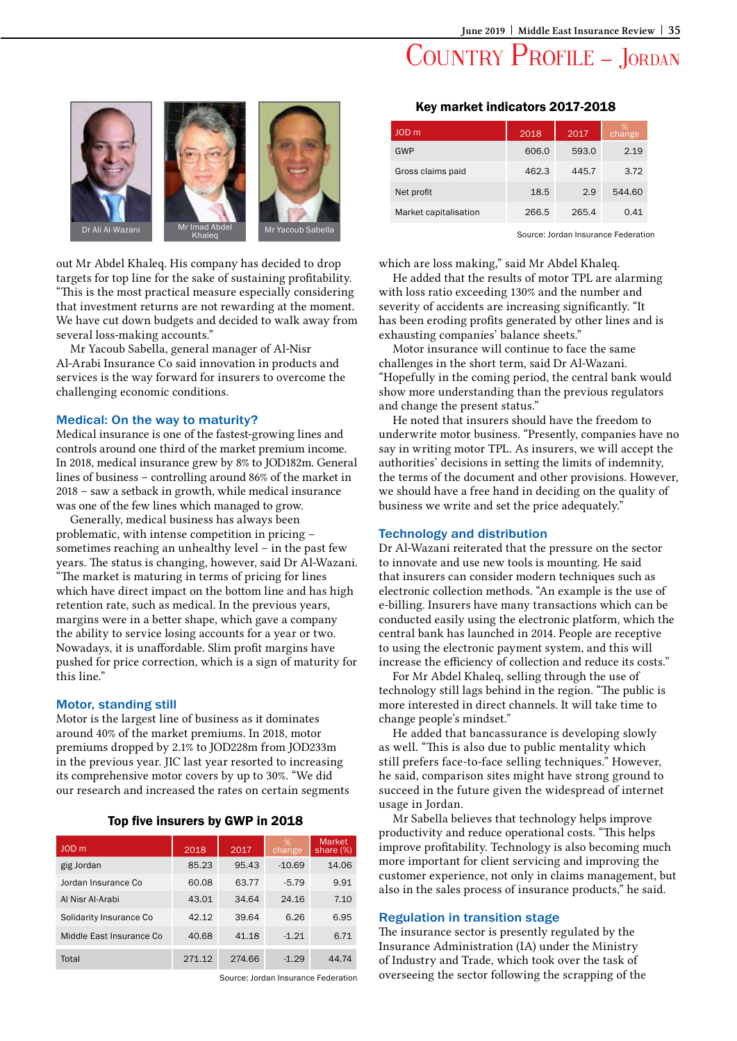## COUNTRY PROFILE - JORDAN



out Mr Abdel Khaleq. His company has decided to drop targets for top line for the sake of sustaining profitability. "This is the most practical measure especially considering that investment returns are not rewarding at the moment. We have cut down budgets and decided to walk away from several loss-making accounts."

Mr Yacoub Sabella, general manager of Al-Nisr Al-Arabi Insurance Co said innovation in products and services is the way forward for insurers to overcome the challenging economic conditions.

#### Medical: On the way to maturity?

Medical insurance is one of the fastest-growing lines and controls around one third of the market premium income. In 2018, medical insurance grew by 8% to JOD182m. General lines of business – controlling around 86% of the market in 2018 – saw a setback in growth, while medical insurance was one of the few lines which managed to grow.

Generally, medical business has always been problematic, with intense competition in pricing – sometimes reaching an unhealthy level – in the past few years. The status is changing, however, said Dr Al-Wazani. "The market is maturing in terms of pricing for lines which have direct impact on the bottom line and has high retention rate, such as medical. In the previous years, margins were in a better shape, which gave a company the ability to service losing accounts for a year or two. Nowadays, it is unaffordable. Slim profit margins have pushed for price correction, which is a sign of maturity for this line."

#### Motor, standing still

Motor is the largest line of business as it dominates around 40% of the market premiums. In 2018, motor premiums dropped by 2.1% to JOD228m from JOD233m in the previous year. JIC last year resorted to increasing its comprehensive motor covers by up to 30%. "We did our research and increased the rates on certain segments

| Top five insurers by GWP in 2018 |  |  |
|----------------------------------|--|--|
|                                  |  |  |

| JOD <sub>m</sub>         | 2018   | 2017   | %<br>change | <b>Market</b><br>share $(\%)$ |
|--------------------------|--------|--------|-------------|-------------------------------|
| gig Jordan               | 85.23  | 95.43  | $-10.69$    | 14.06                         |
| Jordan Insurance Co      | 60.08  | 63.77  | $-5.79$     | 9.91                          |
| Al Nisr Al-Arabi         | 43.01  | 34.64  | 24.16       | 7.10                          |
| Solidarity Insurance Co  | 42.12  | 39.64  | 6.26        | 6.95                          |
| Middle East Insurance Co | 40.68  | 41.18  | $-1.21$     | 6.71                          |
| Total                    | 271.12 | 274.66 | $-1.29$     | 44.74                         |

Source: Jordan Insurance Federation

#### Key market indicators 2017-2018

| JOD <sub>m</sub>      | 2018  | 2017  | %<br>change |
|-----------------------|-------|-------|-------------|
| GWP                   | 606.0 | 593.0 | 2.19        |
| Gross claims paid     | 462.3 | 445.7 | 3.72        |
| Net profit            | 18.5  | 2.9   | 544.60      |
| Market capitalisation | 266.5 | 265.4 | 0.41        |

Source: Jordan Insurance Federation

which are loss making," said Mr Abdel Khaleq.

He added that the results of motor TPL are alarming with loss ratio exceeding 130% and the number and severity of accidents are increasing significantly. "It has been eroding profits generated by other lines and is exhausting companies' balance sheets."

Motor insurance will continue to face the same challenges in the short term, said Dr Al-Wazani. "Hopefully in the coming period, the central bank would show more understanding than the previous regulators and change the present status."

He noted that insurers should have the freedom to underwrite motor business. "Presently, companies have no say in writing motor TPL. As insurers, we will accept the authorities' decisions in setting the limits of indemnity, the terms of the document and other provisions. However, we should have a free hand in deciding on the quality of business we write and set the price adequately."

### Technology and distribution

Dr Al-Wazani reiterated that the pressure on the sector to innovate and use new tools is mounting. He said that insurers can consider modern techniques such as electronic collection methods. "An example is the use of e-billing. Insurers have many transactions which can be conducted easily using the electronic platform, which the central bank has launched in 2014. People are receptive to using the electronic payment system, and this will increase the efficiency of collection and reduce its costs."

For Mr Abdel Khaleq, selling through the use of technology still lags behind in the region. "The public is more interested in direct channels. It will take time to change people's mindset."

He added that bancassurance is developing slowly as well. "This is also due to public mentality which still prefers face-to-face selling techniques." However, he said, comparison sites might have strong ground to succeed in the future given the widespread of internet usage in Jordan.

Mr Sabella believes that technology helps improve productivity and reduce operational costs. "This helps improve profitability. Technology is also becoming much more important for client servicing and improving the customer experience, not only in claims management, but also in the sales process of insurance products," he said.

### Regulation in transition stage

The insurance sector is presently regulated by the Insurance Administration (IA) under the Ministry of Industry and Trade, which took over the task of overseeing the sector following the scrapping of the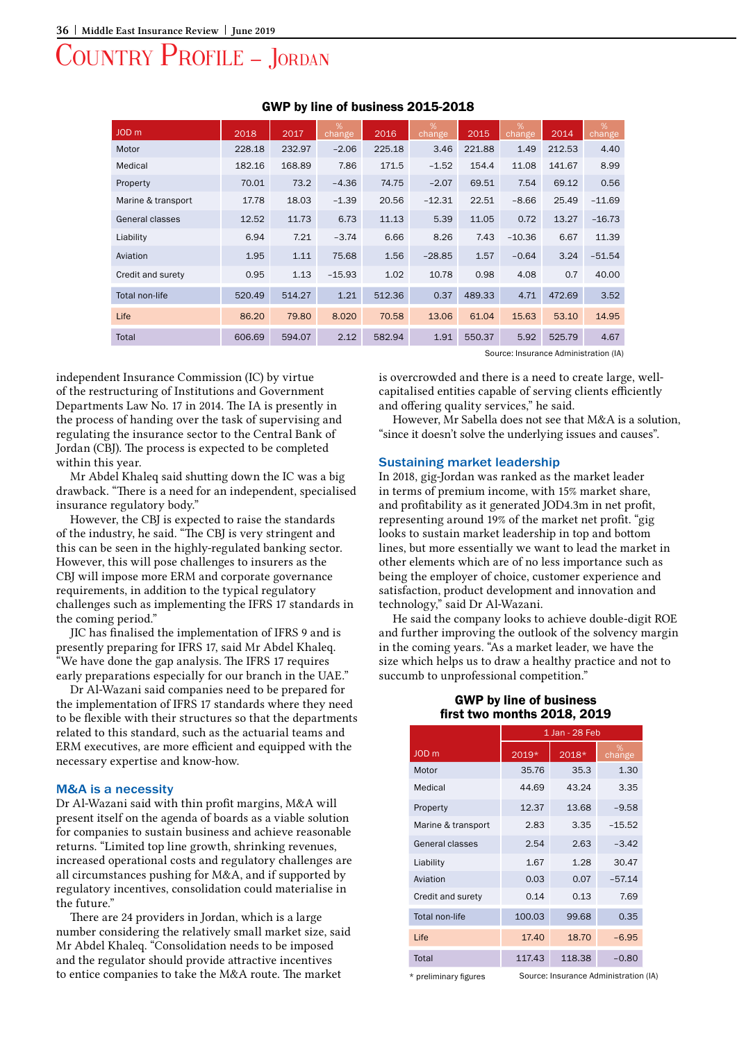| JOD <sub>m</sub>   | 2018   | 2017   | %<br>change | 2016   | %<br>change | 2015   | %<br>change | 2014   | %<br>change |
|--------------------|--------|--------|-------------|--------|-------------|--------|-------------|--------|-------------|
| Motor              | 228.18 | 232.97 | $-2.06$     | 225.18 | 3.46        | 221.88 | 1.49        | 212.53 | 4.40        |
| Medical            | 182.16 | 168.89 | 7.86        | 171.5  | $-1.52$     | 154.4  | 11.08       | 141.67 | 8.99        |
| Property           | 70.01  | 73.2   | $-4.36$     | 74.75  | $-2.07$     | 69.51  | 7.54        | 69.12  | 0.56        |
| Marine & transport | 17.78  | 18.03  | $-1.39$     | 20.56  | $-12.31$    | 22.51  | $-8.66$     | 25.49  | $-11.69$    |
| General classes    | 12.52  | 11.73  | 6.73        | 11.13  | 5.39        | 11.05  | 0.72        | 13.27  | $-16.73$    |
| Liability          | 6.94   | 7.21   | $-3.74$     | 6.66   | 8.26        | 7.43   | $-10.36$    | 6.67   | 11.39       |
| Aviation           | 1.95   | 1.11   | 75.68       | 1.56   | $-28.85$    | 1.57   | $-0.64$     | 3.24   | $-51.54$    |
| Credit and surety  | 0.95   | 1.13   | $-15.93$    | 1.02   | 10.78       | 0.98   | 4.08        | 0.7    | 40.00       |
| Total non-life     | 520.49 | 514.27 | 1.21        | 512.36 | 0.37        | 489.33 | 4.71        | 472.69 | 3.52        |
| Life               | 86.20  | 79.80  | 8.020       | 70.58  | 13.06       | 61.04  | 15.63       | 53.10  | 14.95       |
| Total              | 606.69 | 594.07 | 2.12        | 582.94 | 1.91        | 550.37 | 5.92        | 525.79 | 4.67        |

### GWP by line of business 2015-2018

Source: Insurance Administration (IA)

independent Insurance Commission (IC) by virtue of the restructuring of Institutions and Government Departments Law No. 17 in 2014. The IA is presently in the process of handing over the task of supervising and regulating the insurance sector to the Central Bank of Jordan (CBJ). The process is expected to be completed within this year.

Mr Abdel Khaleq said shutting down the IC was a big drawback. "There is a need for an independent, specialised insurance regulatory body."

However, the CBJ is expected to raise the standards of the industry, he said. "The CBJ is very stringent and this can be seen in the highly-regulated banking sector. However, this will pose challenges to insurers as the CBJ will impose more ERM and corporate governance requirements, in addition to the typical regulatory challenges such as implementing the IFRS 17 standards in the coming period."

JIC has finalised the implementation of IFRS 9 and is presently preparing for IFRS 17, said Mr Abdel Khaleq. "We have done the gap analysis. The IFRS 17 requires early preparations especially for our branch in the UAE."

Dr Al-Wazani said companies need to be prepared for the implementation of IFRS 17 standards where they need to be flexible with their structures so that the departments related to this standard, such as the actuarial teams and ERM executives, are more efficient and equipped with the necessary expertise and know-how.

### M&A is a necessity

Dr Al-Wazani said with thin profit margins, M&A will present itself on the agenda of boards as a viable solution for companies to sustain business and achieve reasonable returns. "Limited top line growth, shrinking revenues, increased operational costs and regulatory challenges are all circumstances pushing for M&A, and if supported by regulatory incentives, consolidation could materialise in the future."

There are 24 providers in Jordan, which is a large number considering the relatively small market size, said Mr Abdel Khaleq. "Consolidation needs to be imposed and the regulator should provide attractive incentives to entice companies to take the M&A route. The market

is overcrowded and there is a need to create large, wellcapitalised entities capable of serving clients efficiently and offering quality services," he said.

However, Mr Sabella does not see that M&A is a solution, "since it doesn't solve the underlying issues and causes".

#### Sustaining market leadership

In 2018, gig-Jordan was ranked as the market leader in terms of premium income, with 15% market share, and profitability as it generated JOD4.3m in net profit, representing around 19% of the market net profit. "gig looks to sustain market leadership in top and bottom lines, but more essentially we want to lead the market in other elements which are of no less importance such as being the employer of choice, customer experience and satisfaction, product development and innovation and technology," said Dr Al-Wazani.

He said the company looks to achieve double-digit ROE and further improving the outlook of the solvency margin in the coming years. "As a market leader, we have the size which helps us to draw a healthy practice and not to succumb to unprofessional competition."

| = -= -. = -= -        |                |        |             |  |  |  |
|-----------------------|----------------|--------|-------------|--|--|--|
|                       | 1 Jan - 28 Feb |        |             |  |  |  |
| JOD <sub>m</sub>      | 2019*          | 2018*  | %<br>change |  |  |  |
| Motor                 | 35.76          | 35.3   | 1.30        |  |  |  |
| Medical               | 44.69          | 43.24  | 3.35        |  |  |  |
| Property              | 12.37          | 13.68  | $-9.58$     |  |  |  |
| Marine & transport    | 2.83           | 3.35   | $-15.52$    |  |  |  |
| General classes       | 2.54           | 2.63   | $-3.42$     |  |  |  |
| Liability             | 1.67           | 1.28   | 30.47       |  |  |  |
| Aviation              | 0.03           | 0.07   | $-57.14$    |  |  |  |
| Credit and surety     | 0.14           | 0.13   | 7.69        |  |  |  |
| <b>Total non-life</b> | 100.03         | 99.68  | 0.35        |  |  |  |
| Life                  | 17.40          | 18.70  | $-6.95$     |  |  |  |
| Total                 | 117.43         | 118.38 | $-0.80$     |  |  |  |
|                       |                |        |             |  |  |  |

## GWP by line of business first two months 2018, 2019

\* preliminary figures

Source: Insurance Administration (IA)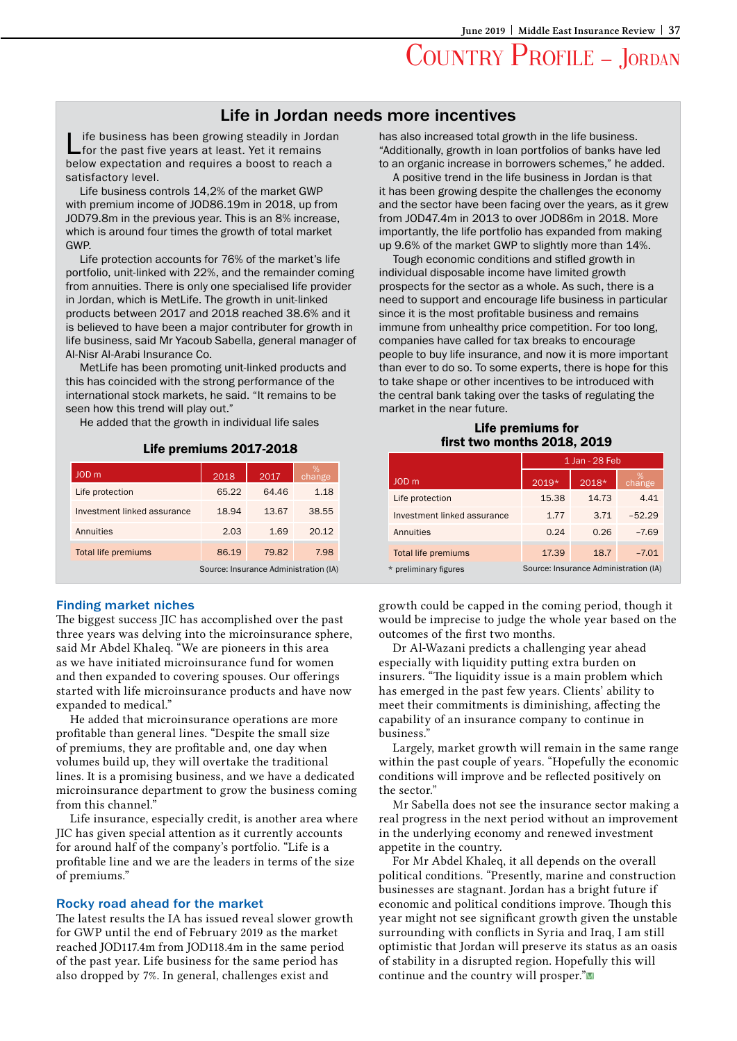## Life in Jordan needs more incentives

ife business has been growing steadily in Jordan for the past five years at least. Yet it remains below expectation and requires a boost to reach a satisfactory level.

Life business controls 14,2% of the market GWP with premium income of JOD86.19m in 2018, up from JOD79.8m in the previous year. This is an 8% increase, which is around four times the growth of total market GWP.

Life protection accounts for 76% of the market's life portfolio, unit-linked with 22%, and the remainder coming from annuities. There is only one specialised life provider in Jordan, which is MetLife. The growth in unit-linked products between 2017 and 2018 reached 38.6% and it is believed to have been a major contributer for growth in life business, said Mr Yacoub Sabella, general manager of Al-Nisr Al-Arabi Insurance Co.

MetLife has been promoting unit-linked products and this has coincided with the strong performance of the international stock markets, he said. "It remains to be seen how this trend will play out."

He added that the growth in individual life sales

#### Life premiums 2017-2018

| JOD <sub>m</sub>                      | 2018  | 2017  | change |  |
|---------------------------------------|-------|-------|--------|--|
| Life protection                       | 65.22 | 64.46 | 1.18   |  |
| Investment linked assurance           | 18.94 | 13.67 | 38.55  |  |
| Annuities                             | 2.03  | 1.69  | 20.12  |  |
| <b>Total life premiums</b>            | 86.19 | 79.82 | 7.98   |  |
| Source: Insurance Administration (IA) |       |       |        |  |

#### Finding market niches

The biggest success JIC has accomplished over the past three years was delving into the microinsurance sphere, said Mr Abdel Khaleq. "We are pioneers in this area as we have initiated microinsurance fund for women and then expanded to covering spouses. Our offerings started with life microinsurance products and have now expanded to medical."

He added that microinsurance operations are more profitable than general lines. "Despite the small size of premiums, they are profitable and, one day when volumes build up, they will overtake the traditional lines. It is a promising business, and we have a dedicated microinsurance department to grow the business coming from this channel."

Life insurance, especially credit, is another area where JIC has given special attention as it currently accounts for around half of the company's portfolio. "Life is a profitable line and we are the leaders in terms of the size of premiums."

#### Rocky road ahead for the market

The latest results the IA has issued reveal slower growth for GWP until the end of February 2019 as the market reached JOD117.4m from JOD118.4m in the same period of the past year. Life business for the same period has also dropped by 7%. In general, challenges exist and

has also increased total growth in the life business. "Additionally, growth in loan portfolios of banks have led to an organic increase in borrowers schemes," he added.

A positive trend in the life business in Jordan is that it has been growing despite the challenges the economy and the sector have been facing over the years, as it grew from JOD47.4m in 2013 to over JOD86m in 2018. More importantly, the life portfolio has expanded from making up 9.6% of the market GWP to slightly more than 14%.

Tough economic conditions and stifled growth in individual disposable income have limited growth prospects for the sector as a whole. As such, there is a need to support and encourage life business in particular since it is the most profitable business and remains immune from unhealthy price competition. For too long, companies have called for tax breaks to encourage people to buy life insurance, and now it is more important than ever to do so. To some experts, there is hope for this to take shape or other incentives to be introduced with the central bank taking over the tasks of regulating the market in the near future.

### Life premiums for first two months 2018, 2019

|                                                                | 1 Jan - 28 Feb |       |          |  |
|----------------------------------------------------------------|----------------|-------|----------|--|
| JOD m                                                          | 2019*          | 2018* | change   |  |
| Life protection                                                | 15.38          | 14.73 | 4.41     |  |
| Investment linked assurance                                    | 1.77           | 3.71  | $-52.29$ |  |
| Annuities                                                      | 0.24           | 0.26  | $-7.69$  |  |
| <b>Total life premiums</b>                                     | 17.39          | 18.7  | $-7.01$  |  |
| Source: Insurance Administration (IA)<br>* preliminary figures |                |       |          |  |

growth could be capped in the coming period, though it would be imprecise to judge the whole year based on the outcomes of the first two months.

Dr Al-Wazani predicts a challenging year ahead especially with liquidity putting extra burden on insurers. "The liquidity issue is a main problem which has emerged in the past few years. Clients' ability to meet their commitments is diminishing, affecting the capability of an insurance company to continue in business."

Largely, market growth will remain in the same range within the past couple of years. "Hopefully the economic conditions will improve and be reflected positively on the sector."

Mr Sabella does not see the insurance sector making a real progress in the next period without an improvement in the underlying economy and renewed investment appetite in the country.

For Mr Abdel Khaleq, it all depends on the overall political conditions. "Presently, marine and construction businesses are stagnant. Jordan has a bright future if economic and political conditions improve. Though this year might not see significant growth given the unstable surrounding with conflicts in Syria and Iraq, I am still optimistic that Jordan will preserve its status as an oasis of stability in a disrupted region. Hopefully this will continue and the country will prosper."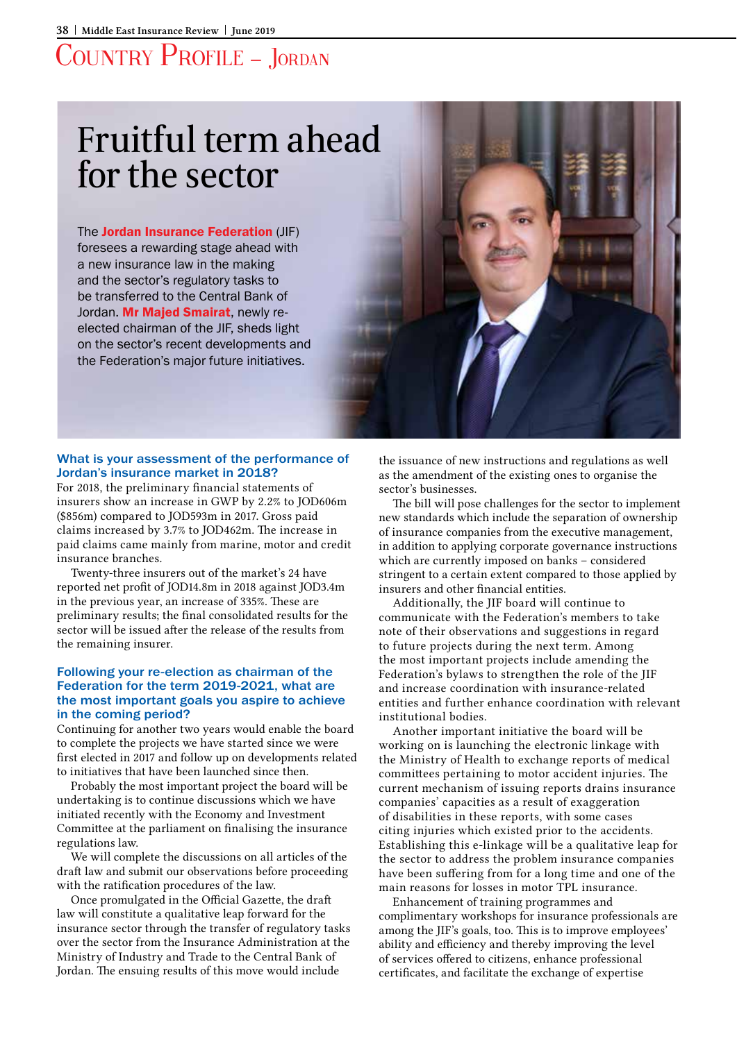# Fruitful term ahead for the sector

The Jordan Insurance Federation (JIF) foresees a rewarding stage ahead with a new insurance law in the making and the sector's regulatory tasks to be transferred to the Central Bank of Jordan. Mr Majed Smairat, newly reelected chairman of the JIF, sheds light on the sector's recent developments and the Federation's major future initiatives.



## What is your assessment of the performance of Jordan's insurance market in 2018?

For 2018, the preliminary financial statements of insurers show an increase in GWP by 2.2% to JOD606m (\$856m) compared to JOD593m in 2017. Gross paid claims increased by 3.7% to JOD462m. The increase in paid claims came mainly from marine, motor and credit insurance branches.

Twenty-three insurers out of the market's 24 have reported net profit of JOD14.8m in 2018 against JOD3.4m in the previous year, an increase of 335%. These are preliminary results; the final consolidated results for the sector will be issued after the release of the results from the remaining insurer.

## Following your re-election as chairman of the Federation for the term 2019-2021, what are the most important goals you aspire to achieve in the coming period?

Continuing for another two years would enable the board to complete the projects we have started since we were first elected in 2017 and follow up on developments related to initiatives that have been launched since then.

Probably the most important project the board will be undertaking is to continue discussions which we have initiated recently with the Economy and Investment Committee at the parliament on finalising the insurance regulations law.

We will complete the discussions on all articles of the draft law and submit our observations before proceeding with the ratification procedures of the law.

Once promulgated in the Official Gazette, the draft law will constitute a qualitative leap forward for the insurance sector through the transfer of regulatory tasks over the sector from the Insurance Administration at the Ministry of Industry and Trade to the Central Bank of Jordan. The ensuing results of this move would include

the issuance of new instructions and regulations as well as the amendment of the existing ones to organise the sector's businesses.

The bill will pose challenges for the sector to implement new standards which include the separation of ownership of insurance companies from the executive management, in addition to applying corporate governance instructions which are currently imposed on banks – considered stringent to a certain extent compared to those applied by insurers and other financial entities.

Additionally, the JIF board will continue to communicate with the Federation's members to take note of their observations and suggestions in regard to future projects during the next term. Among the most important projects include amending the Federation's bylaws to strengthen the role of the JIF and increase coordination with insurance-related entities and further enhance coordination with relevant institutional bodies.

Another important initiative the board will be working on is launching the electronic linkage with the Ministry of Health to exchange reports of medical committees pertaining to motor accident injuries. The current mechanism of issuing reports drains insurance companies' capacities as a result of exaggeration of disabilities in these reports, with some cases citing injuries which existed prior to the accidents. Establishing this e-linkage will be a qualitative leap for the sector to address the problem insurance companies have been suffering from for a long time and one of the main reasons for losses in motor TPL insurance.

Enhancement of training programmes and complimentary workshops for insurance professionals are among the JIF's goals, too. This is to improve employees' ability and efficiency and thereby improving the level of services offered to citizens, enhance professional certificates, and facilitate the exchange of expertise